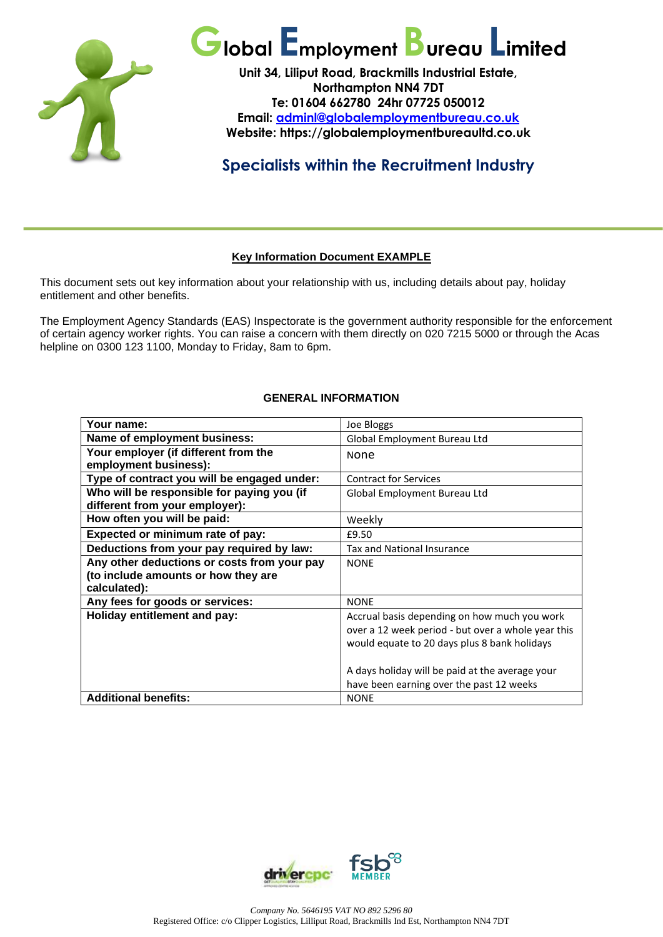

# **Global EmploymentBureau Limited**

**Unit 34, Liliput Road, Brackmills Industrial Estate, Northampton NN4 7DT Te: 01604 662780 24hr 07725 050012 Email: [adminl@globalemploymentbureau.co.uk](mailto:adminl@globalemploymentbureau.co.uk) Website: https://globalemploymentbureaultd.co.uk**

## **Specialists within the Recruitment Industry**

### **Key Information Document EXAMPLE**

This document sets out key information about your relationship with us, including details about pay, holiday entitlement and other benefits.

The Employment Agency Standards (EAS) Inspectorate is the government authority responsible for the enforcement of certain agency worker rights. You can raise a concern with them directly on 020 7215 5000 or through the Acas helpline on 0300 123 1100, Monday to Friday, 8am to 6pm.

#### **GENERAL INFORMATION**

| Your name:                                  | Joe Bloggs                                         |
|---------------------------------------------|----------------------------------------------------|
| Name of employment business:                | Global Employment Bureau Ltd                       |
| Your employer (if different from the        | None                                               |
| employment business):                       |                                                    |
| Type of contract you will be engaged under: | <b>Contract for Services</b>                       |
| Who will be responsible for paying you (if  | Global Employment Bureau Ltd                       |
| different from your employer):              |                                                    |
| How often you will be paid:                 | Weekly                                             |
| Expected or minimum rate of pay:            | £9.50                                              |
| Deductions from your pay required by law:   | Tax and National Insurance                         |
| Any other deductions or costs from your pay | <b>NONE</b>                                        |
| (to include amounts or how they are         |                                                    |
| calculated):                                |                                                    |
| Any fees for goods or services:             | <b>NONE</b>                                        |
| Holiday entitlement and pay:                | Accrual basis depending on how much you work       |
|                                             | over a 12 week period - but over a whole year this |
|                                             | would equate to 20 days plus 8 bank holidays       |
|                                             |                                                    |
|                                             | A days holiday will be paid at the average your    |
|                                             | have been earning over the past 12 weeks           |
| <b>Additional benefits:</b>                 | <b>NONE</b>                                        |